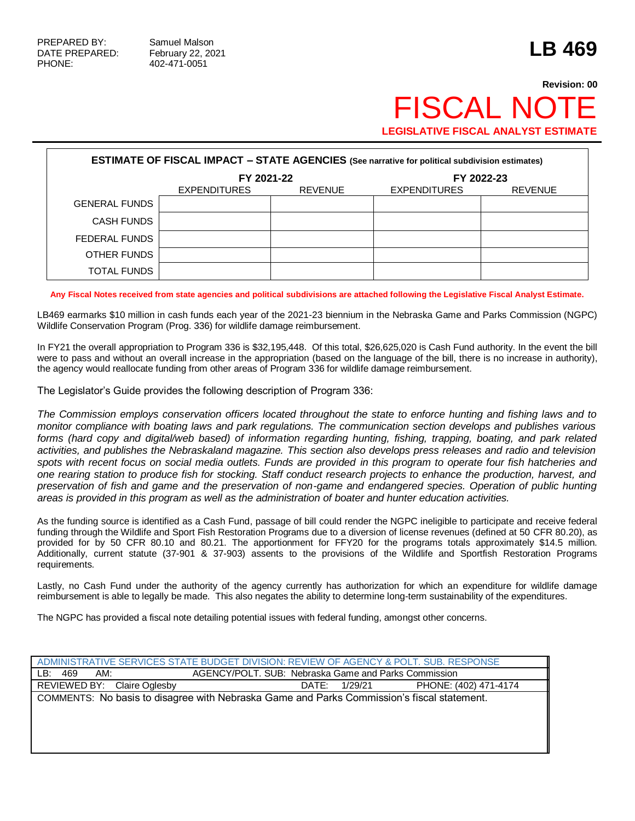## **Revision: 00 FISCAL NO LEGISLATIVE FISCAL ANALYST ESTIMATE**

| <b>ESTIMATE OF FISCAL IMPACT - STATE AGENCIES (See narrative for political subdivision estimates)</b> |                     |                |                     |                |  |
|-------------------------------------------------------------------------------------------------------|---------------------|----------------|---------------------|----------------|--|
|                                                                                                       | FY 2021-22          |                | FY 2022-23          |                |  |
|                                                                                                       | <b>EXPENDITURES</b> | <b>REVENUE</b> | <b>EXPENDITURES</b> | <b>REVENUE</b> |  |
| <b>GENERAL FUNDS</b>                                                                                  |                     |                |                     |                |  |
| <b>CASH FUNDS</b>                                                                                     |                     |                |                     |                |  |
| FEDERAL FUNDS                                                                                         |                     |                |                     |                |  |
| OTHER FUNDS                                                                                           |                     |                |                     |                |  |
| <b>TOTAL FUNDS</b>                                                                                    |                     |                |                     |                |  |

**Any Fiscal Notes received from state agencies and political subdivisions are attached following the Legislative Fiscal Analyst Estimate.**

LB469 earmarks \$10 million in cash funds each year of the 2021-23 biennium in the Nebraska Game and Parks Commission (NGPC) Wildlife Conservation Program (Prog. 336) for wildlife damage reimbursement.

In FY21 the overall appropriation to Program 336 is \$32,195,448. Of this total, \$26,625,020 is Cash Fund authority. In the event the bill were to pass and without an overall increase in the appropriation (based on the language of the bill, there is no increase in authority), the agency would reallocate funding from other areas of Program 336 for wildlife damage reimbursement.

The Legislator's Guide provides the following description of Program 336:

*The Commission employs conservation officers located throughout the state to enforce hunting and fishing laws and to monitor compliance with boating laws and park regulations. The communication section develops and publishes various forms (hard copy and digital/web based) of information regarding hunting, fishing, trapping, boating, and park related activities, and publishes the Nebraskaland magazine. This section also develops press releases and radio and television spots with recent focus on social media outlets. Funds are provided in this program to operate four fish hatcheries and one rearing station to produce fish for stocking. Staff conduct research projects to enhance the production, harvest, and preservation of fish and game and the preservation of non-game and endangered species. Operation of public hunting areas is provided in this program as well as the administration of boater and hunter education activities.*

As the funding source is identified as a Cash Fund, passage of bill could render the NGPC ineligible to participate and receive federal funding through the Wildlife and Sport Fish Restoration Programs due to a diversion of license revenues (defined at 50 CFR 80.20), as provided for by 50 CFR 80.10 and 80.21. The apportionment for FFY20 for the programs totals approximately \$14.5 million. Additionally, current statute (37-901 & 37-903) assents to the provisions of the Wildlife and Sportfish Restoration Programs requirements.

Lastly, no Cash Fund under the authority of the agency currently has authorization for which an expenditure for wildlife damage reimbursement is able to legally be made. This also negates the ability to determine long-term sustainability of the expenditures.

The NGPC has provided a fiscal note detailing potential issues with federal funding, amongst other concerns.

|                                                                                            | ADMINISTRATIVE SERVICES STATE BUDGET DIVISION: REVIEW OF AGENCY & POLT. SUB. RESPONSE |                       |  |  |
|--------------------------------------------------------------------------------------------|---------------------------------------------------------------------------------------|-----------------------|--|--|
| AGENCY/POLT. SUB: Nebraska Game and Parks Commission<br>LB:<br>AM:<br>469                  |                                                                                       |                       |  |  |
| REVIEWED BY: Claire Oglesby                                                                | 1/29/21<br>DATE:                                                                      | PHONE: (402) 471-4174 |  |  |
| COMMENTS: No basis to disagree with Nebraska Game and Parks Commission's fiscal statement. |                                                                                       |                       |  |  |
|                                                                                            |                                                                                       |                       |  |  |
|                                                                                            |                                                                                       |                       |  |  |
|                                                                                            |                                                                                       |                       |  |  |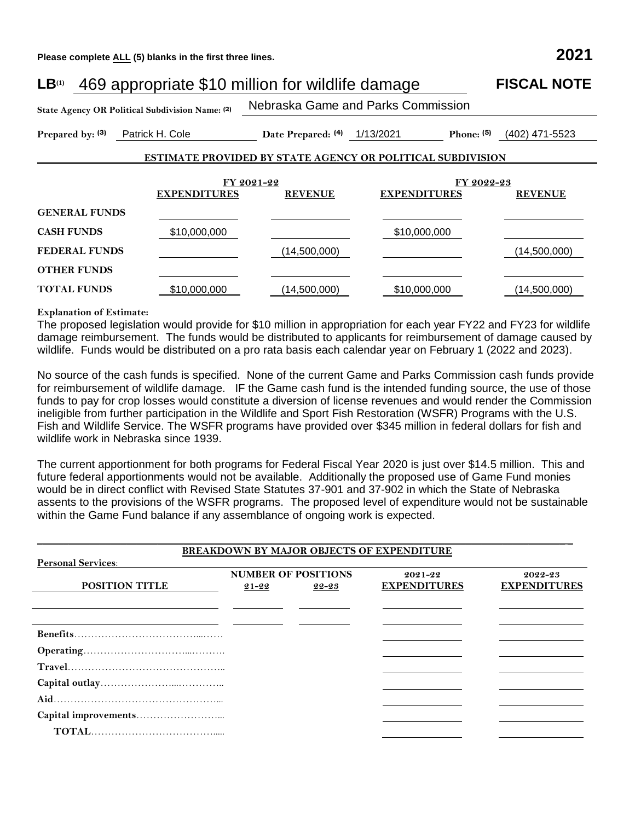**Please complete ALL (5) blanks in the first three lines. 2021**

| 469 appropriate \$10 million for wildlife damage<br>LB <sup>(1)</sup> | <b>FISCAL NOTE</b>  |                                    |                                                                   |                              |  |
|-----------------------------------------------------------------------|---------------------|------------------------------------|-------------------------------------------------------------------|------------------------------|--|
| State Agency OR Political Subdivision Name: (2)                       |                     | Nebraska Game and Parks Commission |                                                                   |                              |  |
| Prepared by: (3)                                                      | Patrick H. Cole     | Date Prepared: (4) 1/13/2021       | Phone: $(5)$                                                      | (402) 471-5523               |  |
|                                                                       |                     |                                    | <b>ESTIMATE PROVIDED BY STATE AGENCY OR POLITICAL SUBDIVISION</b> |                              |  |
|                                                                       |                     |                                    |                                                                   |                              |  |
|                                                                       | <b>EXPENDITURES</b> | FY 2021-22<br><b>REVENUE</b>       | <b>EXPENDITURES</b>                                               | FY 2022-23<br><b>REVENUE</b> |  |
| <b>GENERAL FUNDS</b>                                                  |                     |                                    |                                                                   |                              |  |
| <b>CASH FUNDS</b>                                                     | \$10,000,000        |                                    | \$10,000,000                                                      |                              |  |
| <b>FEDERAL FUNDS</b>                                                  |                     | (14,500,000)                       |                                                                   | (14,500,000)                 |  |
| <b>OTHER FUNDS</b>                                                    |                     |                                    |                                                                   |                              |  |
| <b>TOTAL FUNDS</b>                                                    | \$10,000,000        | (14,500,000)                       | \$10,000,000                                                      | (14,500,000)                 |  |

## **Explanation of Estimate:**

The proposed legislation would provide for \$10 million in appropriation for each year FY22 and FY23 for wildlife damage reimbursement. The funds would be distributed to applicants for reimbursement of damage caused by wildlife. Funds would be distributed on a pro rata basis each calendar year on February 1 (2022 and 2023).

No source of the cash funds is specified. None of the current Game and Parks Commission cash funds provide for reimbursement of wildlife damage. IF the Game cash fund is the intended funding source, the use of those funds to pay for crop losses would constitute a diversion of license revenues and would render the Commission ineligible from further participation in the Wildlife and Sport Fish Restoration (WSFR) Programs with the U.S. Fish and Wildlife Service. The WSFR programs have provided over \$345 million in federal dollars for fish and wildlife work in Nebraska since 1939.

The current apportionment for both programs for Federal Fiscal Year 2020 is just over \$14.5 million. This and future federal apportionments would not be available. Additionally the proposed use of Game Fund monies would be in direct conflict with Revised State Statutes 37-901 and 37-902 in which the State of Nebraska assents to the provisions of the WSFR programs. The proposed level of expenditure would not be sustainable within the Game Fund balance if any assemblance of ongoing work is expected.

| <b>BREAKDOWN BY MAJOR OBJECTS OF EXPENDITURE</b> |                            |           |                     |                     |  |
|--------------------------------------------------|----------------------------|-----------|---------------------|---------------------|--|
| <b>Personal Services:</b>                        |                            |           |                     |                     |  |
|                                                  | <b>NUMBER OF POSITIONS</b> |           | $2021 - 22$         | 2022-23             |  |
| <b>POSITION TITLE</b>                            | $21 - 22$                  | $22 - 23$ | <b>EXPENDITURES</b> | <b>EXPENDITURES</b> |  |
|                                                  |                            |           |                     |                     |  |
|                                                  |                            |           |                     |                     |  |
|                                                  |                            |           |                     |                     |  |
|                                                  |                            |           |                     |                     |  |
|                                                  |                            |           |                     |                     |  |
|                                                  |                            |           |                     |                     |  |
|                                                  |                            |           |                     |                     |  |
|                                                  |                            |           |                     |                     |  |
|                                                  |                            |           |                     |                     |  |
|                                                  |                            |           |                     |                     |  |